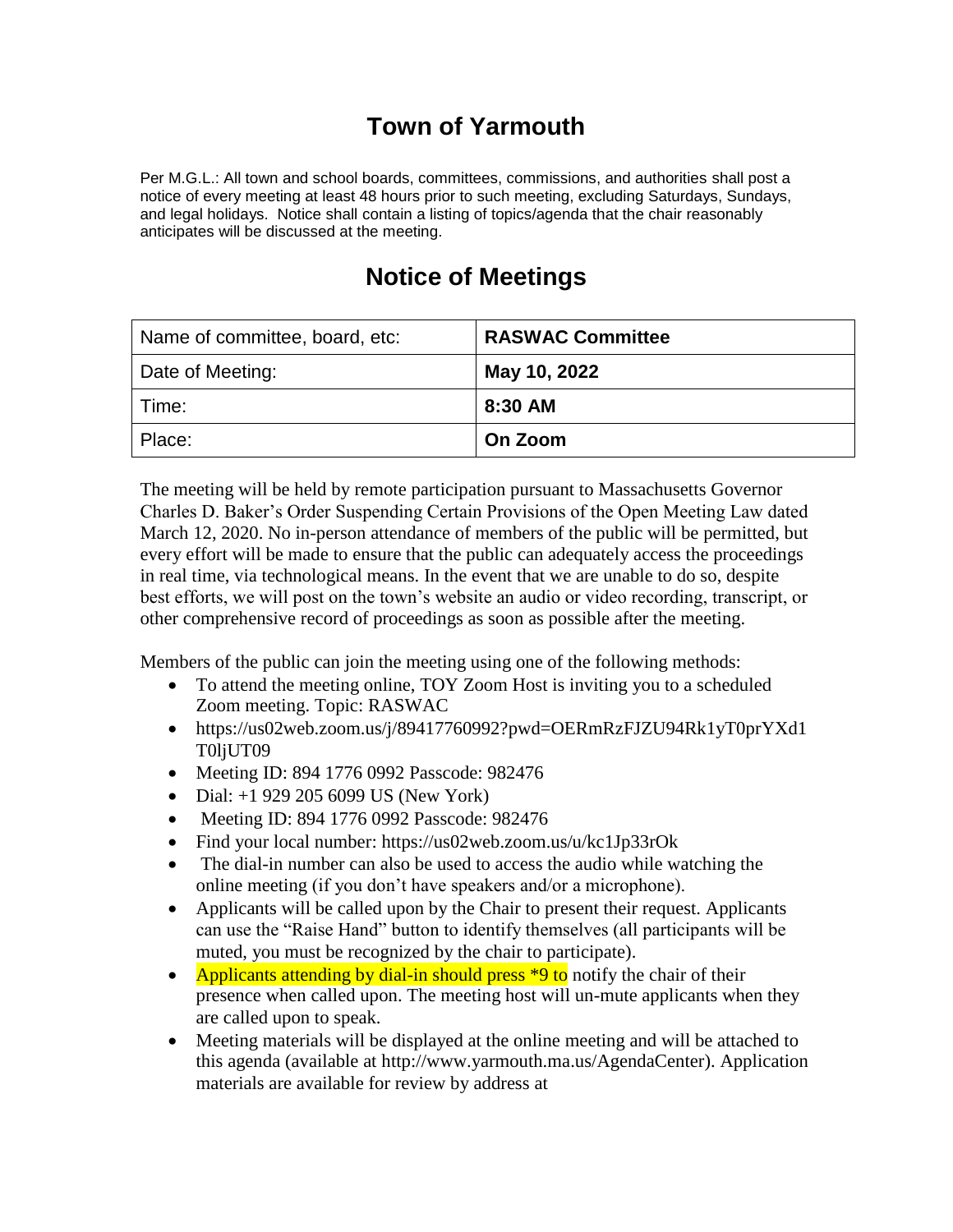## **Town of Yarmouth**

Per M.G.L.: All town and school boards, committees, commissions, and authorities shall post a notice of every meeting at least 48 hours prior to such meeting, excluding Saturdays, Sundays, and legal holidays. Notice shall contain a listing of topics/agenda that the chair reasonably anticipates will be discussed at the meeting.

| Name of committee, board, etc: | <b>RASWAC Committee</b> |
|--------------------------------|-------------------------|
| Date of Meeting:               | May 10, 2022            |
| Time:                          | 8:30 AM                 |
| Place:                         | On Zoom                 |

The meeting will be held by remote participation pursuant to Massachusetts Governor Charles D. Baker's Order Suspending Certain Provisions of the Open Meeting Law dated March 12, 2020. No in-person attendance of members of the public will be permitted, but every effort will be made to ensure that the public can adequately access the proceedings in real time, via technological means. In the event that we are unable to do so, despite best efforts, we will post on the town's website an audio or video recording, transcript, or other comprehensive record of proceedings as soon as possible after the meeting.

Members of the public can join the meeting using one of the following methods:

- To attend the meeting online, TOY Zoom Host is inviting you to a scheduled Zoom meeting. Topic: RASWAC
- https://us02web.zoom.us/j/89417760992?pwd=OERmRzFJZU94Rk1yT0prYXd1 T0ljUT09
- Meeting ID: 894 1776 0992 Passcode: 982476
- Dial:  $+1$  929 205 6099 US (New York)
- Meeting ID: 894 1776 0992 Passcode: 982476
- Find your local number: https://us02web.zoom.us/u/kc1Jp33rOk
- The dial-in number can also be used to access the audio while watching the online meeting (if you don't have speakers and/or a microphone).
- Applicants will be called upon by the Chair to present their request. Applicants can use the "Raise Hand" button to identify themselves (all participants will be muted, you must be recognized by the chair to participate).
- Applicants attending by dial-in should press \*9 to notify the chair of their presence when called upon. The meeting host will un-mute applicants when they are called upon to speak.
- Meeting materials will be displayed at the online meeting and will be attached to this agenda (available at http://www.yarmouth.ma.us/AgendaCenter). Application materials are available for review by address at